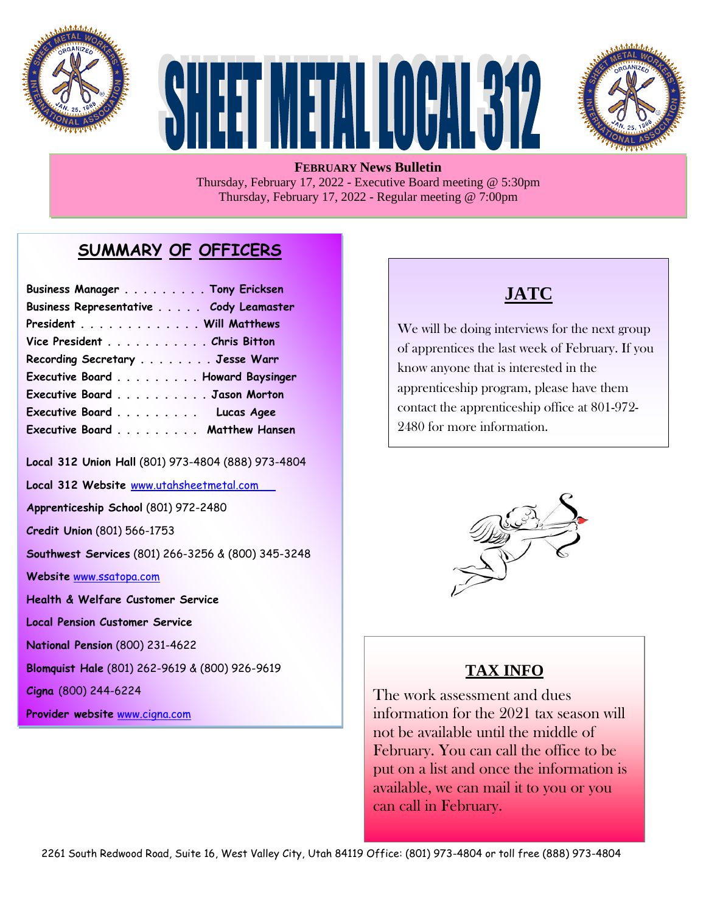





**FEBRUARY News Bulletin** Thursday, February 17, 2022 - Executive Board meeting @ 5:30pm Thursday, February 17, 2022 - Regular meeting @ 7:00pm

## **SUMMARY OF OFFICERS**

| Business Manager Tony Ericksen         |  |
|----------------------------------------|--|
| Business Representative Cody Leamaster |  |
| President Will Matthews                |  |
| Vice President Chris Bitton            |  |
| Recording Secretary Jesse Warr         |  |
| Executive Board Howard Baysinger       |  |
| Executive Board Jason Morton           |  |
| Executive Board Lucas Agee             |  |
| Executive Board Matthew Hansen         |  |

**Local 312 Union Hall** (801) 973-4804 (888) 973-4804

**Local 312 Website** [www.utahsheetmetal.com](http://www.utahsheetmetal.com/)

**Apprenticeship School** (801) 972-2480

**Credit Union** (801) 566-1753

**Southwest Services** (801) 266-3256 & (800) 345-3248

**Website** [www.ssatopa.com](http://www.ssatopa.com/)

**Health & Welfare Customer Service**

**Local Pension Customer Service**

**National Pension** (800) 231-4622

**Blomquist Hale** (801) 262-9619 & (800) 926-9619

**Cigna** (800) 244-6224

**Provider website** [www.cigna.com](http://www.cigna.com/)

## **JATC**

We will be doing interviews for the next group of apprentices the last week of February. If you know anyone that is interested in the apprenticeship program, please have them contact the apprenticeship office at 801-972- 2480 for more information.



### **TAX INFO**

 $\overline{a}$ 

The work assessment and dues information for the 2021 tax season will not be available until the middle of February. You can call the office to be put on a list and once the information is available, we can mail it to you or you can call in February.